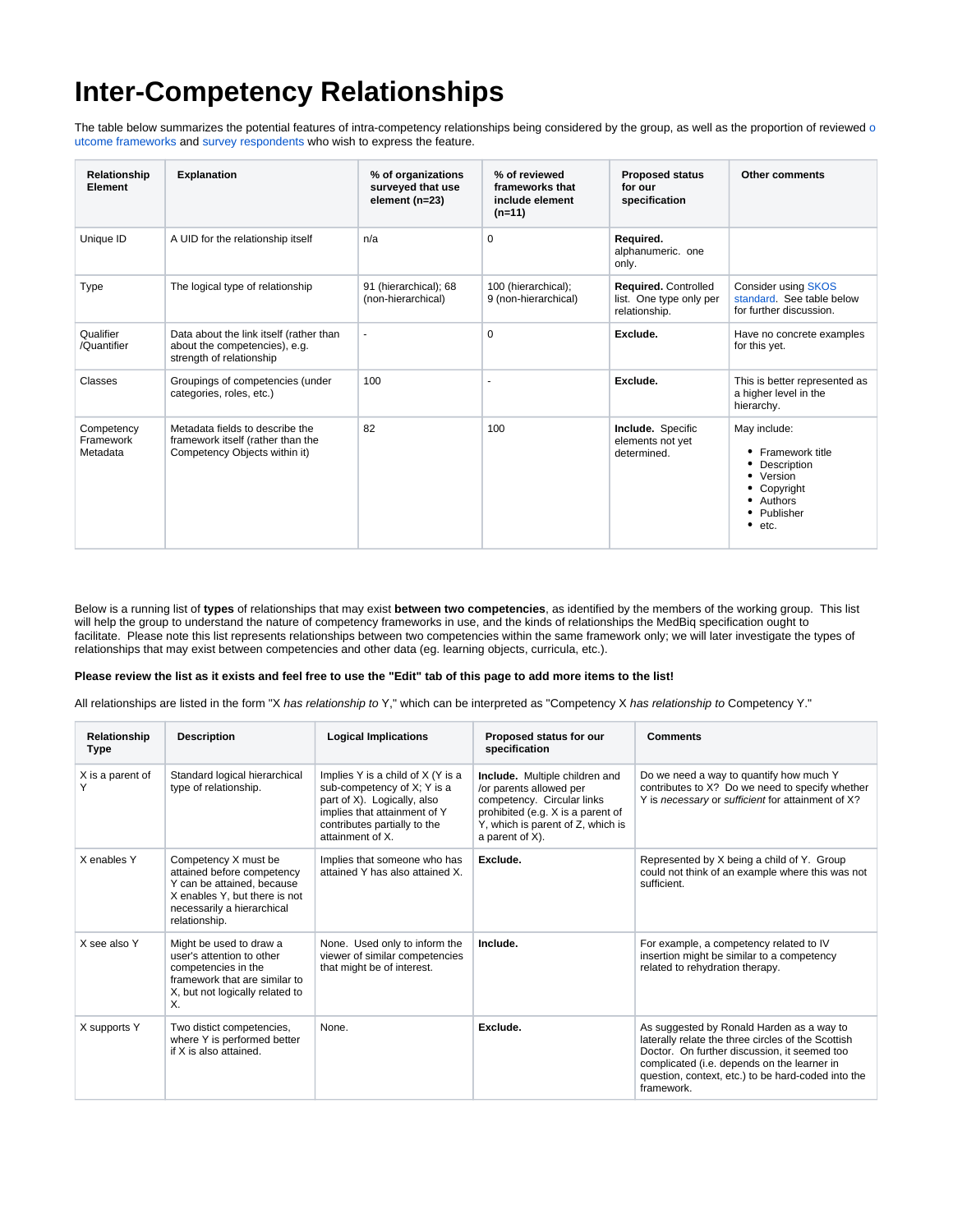## **Inter-Competency Relationships**

The table bel[o](http://groups.medbiq.org/medbiq/display/CF/Examples+and+Case+Studies)w summarizes the potential features of intra-competency relationships being considered by the group, as well as the proportion of reviewed o [utcome frameworks a](http://groups.medbiq.org/medbiq/display/CF/Examples+and+Case+Studies)nd [survey respondents w](http://groups.medbiq.org/medbiq/display/CF/Survey+Results+and+Analysis)ho wish to express the feature.

| Relationship<br>Element             | <b>Explanation</b>                                                                                    | % of organizations<br>surveyed that use<br>element (n=23) | % of reviewed<br>frameworks that<br>include element<br>$(n=11)$ | <b>Proposed status</b><br>for our<br>specification               | <b>Other comments</b>                                                                                                                 |
|-------------------------------------|-------------------------------------------------------------------------------------------------------|-----------------------------------------------------------|-----------------------------------------------------------------|------------------------------------------------------------------|---------------------------------------------------------------------------------------------------------------------------------------|
| Unique ID                           | A UID for the relationship itself                                                                     | n/a                                                       | $\Omega$                                                        | Required.<br>alphanumeric. one<br>only.                          |                                                                                                                                       |
| Type                                | The logical type of relationship                                                                      | 91 (hierarchical); 68<br>(non-hierarchical)               | 100 (hierarchical);<br>9 (non-hierarchical)                     | Required. Controlled<br>list. One type only per<br>relationship. | <b>Consider using SKOS</b><br>standard. See table below<br>for further discussion.                                                    |
| Qualifier<br>/Quantifier            | Data about the link itself (rather than<br>about the competencies), e.g.<br>strength of relationship  | ٠                                                         | $\mathbf 0$                                                     | Exclude.                                                         | Have no concrete examples<br>for this yet.                                                                                            |
| Classes                             | Groupings of competencies (under<br>categories, roles, etc.)                                          | 100                                                       |                                                                 | Exclude.                                                         | This is better represented as<br>a higher level in the<br>hierarchy.                                                                  |
| Competency<br>Framework<br>Metadata | Metadata fields to describe the<br>framework itself (rather than the<br>Competency Objects within it) | 82                                                        | 100                                                             | Include. Specific<br>elements not yet<br>determined.             | May include:<br>Framework title<br>Description<br>Version<br>٠<br>Copyright<br>Authors<br>Publisher<br>$\bullet$<br>$\bullet$<br>etc. |

Below is a running list of **types** of relationships that may exist **between two competencies**, as identified by the members of the working group. This list will help the group to understand the nature of competency frameworks in use, and the kinds of relationships the MedBiq specification ought to facilitate. Please note this list represents relationships between two competencies within the same framework only; we will later investigate the types of relationships that may exist between competencies and other data (eg. learning objects, curricula, etc.).

## **Please review the list as it exists and feel free to use the "Edit" tab of this page to add more items to the list!**

All relationships are listed in the form "X has relationship to Y," which can be interpreted as "Competency X has relationship to Competency Y."

| Relationship<br>Type | <b>Description</b>                                                                                                                                               | <b>Logical Implications</b>                                                                                                                                                         | Proposed status for our<br>specification                                                                                                                                             | <b>Comments</b>                                                                                                                                                                                                                                                    |
|----------------------|------------------------------------------------------------------------------------------------------------------------------------------------------------------|-------------------------------------------------------------------------------------------------------------------------------------------------------------------------------------|--------------------------------------------------------------------------------------------------------------------------------------------------------------------------------------|--------------------------------------------------------------------------------------------------------------------------------------------------------------------------------------------------------------------------------------------------------------------|
| X is a parent of     | Standard logical hierarchical<br>type of relationship.                                                                                                           | Implies Y is a child of X (Y is a<br>sub-competency of X; Y is a<br>part of X). Logically, also<br>implies that attainment of Y<br>contributes partially to the<br>attainment of X. | Include. Multiple children and<br>/or parents allowed per<br>competency. Circular links<br>prohibited (e.g. X is a parent of<br>Y, which is parent of Z, which is<br>a parent of X). | Do we need a way to quantify how much Y<br>contributes to X? Do we need to specify whether<br>Y is necessary or sufficient for attainment of X?                                                                                                                    |
| X enables Y          | Competency X must be<br>attained before competency<br>Y can be attained, because<br>X enables Y, but there is not<br>necessarily a hierarchical<br>relationship. | Implies that someone who has<br>attained Y has also attained X.                                                                                                                     | Exclude.                                                                                                                                                                             | Represented by X being a child of Y. Group<br>could not think of an example where this was not<br>sufficient.                                                                                                                                                      |
| X see also Y         | Might be used to draw a<br>user's attention to other<br>competencies in the<br>framework that are similar to<br>X, but not logically related to<br>Χ.            | None. Used only to inform the<br>viewer of similar competencies<br>that might be of interest.                                                                                       | Include.                                                                                                                                                                             | For example, a competency related to IV<br>insertion might be similar to a competency<br>related to rehydration therapy.                                                                                                                                           |
| X supports Y         | Two distict competencies,<br>where Y is performed better<br>if X is also attained.                                                                               | None.                                                                                                                                                                               | Exclude.                                                                                                                                                                             | As suggested by Ronald Harden as a way to<br>laterally relate the three circles of the Scottish<br>Doctor. On further discussion, it seemed too<br>complicated (i.e. depends on the learner in<br>question, context, etc.) to be hard-coded into the<br>framework. |